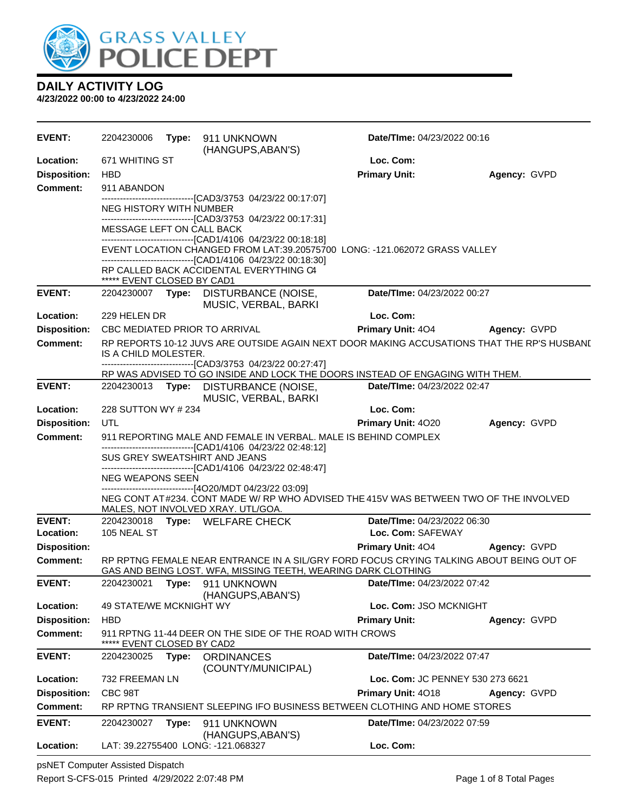

**4/23/2022 00:00 to 4/23/2022 24:00**

| <b>EVENT:</b>       | 2204230006                 | Type: | 911 UNKNOWN<br>(HANGUPS, ABAN'S)                                                                         | Date/TIme: 04/23/2022 00:16                                                                 |              |
|---------------------|----------------------------|-------|----------------------------------------------------------------------------------------------------------|---------------------------------------------------------------------------------------------|--------------|
| Location:           | 671 WHITING ST             |       |                                                                                                          | Loc. Com:                                                                                   |              |
| <b>Disposition:</b> | <b>HBD</b>                 |       |                                                                                                          | <b>Primary Unit:</b>                                                                        | Agency: GVPD |
| <b>Comment:</b>     | 911 ABANDON                |       |                                                                                                          |                                                                                             |              |
|                     | NEG HISTORY WITH NUMBER    |       | --------------------------------[CAD3/3753 04/23/22 00:17:07]                                            |                                                                                             |              |
|                     |                            |       | -------------------------------[CAD3/3753 04/23/22 00:17:31]                                             |                                                                                             |              |
|                     | MESSAGE LEFT ON CALL BACK  |       | -------------------------------[CAD1/4106 04/23/22 00:18:18]                                             |                                                                                             |              |
|                     |                            |       |                                                                                                          | EVENT LOCATION CHANGED FROM LAT:39.20575700 LONG: -121.062072 GRASS VALLEY                  |              |
|                     |                            |       | --------------------------------[CAD1/4106 04/23/22 00:18:30]<br>RP CALLED BACK ACCIDENTAL EVERYTHING C4 |                                                                                             |              |
|                     | ***** EVENT CLOSED BY CAD1 |       |                                                                                                          |                                                                                             |              |
| <b>EVENT:</b>       | 2204230007 Type:           |       | DISTURBANCE (NOISE,<br>MUSIC, VERBAL, BARKI                                                              | Date/TIme: 04/23/2022 00:27                                                                 |              |
| Location:           | 229 HELEN DR               |       |                                                                                                          | Loc. Com:                                                                                   |              |
| <b>Disposition:</b> |                            |       | <b>CBC MEDIATED PRIOR TO ARRIVAL</b>                                                                     | <b>Primary Unit: 404</b>                                                                    | Agency: GVPD |
| Comment:            | IS A CHILD MOLESTER.       |       |                                                                                                          | RP REPORTS 10-12 JUVS ARE OUTSIDE AGAIN NEXT DOOR MAKING ACCUSATIONS THAT THE RP'S HUSBANI. |              |
|                     |                            |       | -------------------------------[CAD3/3753_04/23/22_00:27:47]                                             | RP WAS ADVISED TO GO INSIDE AND LOCK THE DOORS INSTEAD OF ENGAGING WITH THEM.               |              |
| <b>EVENT:</b>       |                            |       | 2204230013 Type: DISTURBANCE (NOISE,                                                                     | Date/TIme: 04/23/2022 02:47                                                                 |              |
|                     |                            |       | MUSIC, VERBAL, BARKI                                                                                     |                                                                                             |              |
| Location:           | 228 SUTTON WY # 234        |       |                                                                                                          | Loc. Com:                                                                                   |              |
| <b>Disposition:</b> | UTL                        |       |                                                                                                          | <b>Primary Unit: 4020</b>                                                                   | Agency: GVPD |
| <b>Comment:</b>     |                            |       | -------------------------------[CAD1/4106 04/23/22 02:48:12]                                             | 911 REPORTING MALE AND FEMALE IN VERBAL. MALE IS BEHIND COMPLEX                             |              |
|                     |                            |       | SUS GREY SWEATSHIRT AND JEANS                                                                            |                                                                                             |              |
|                     | <b>NEG WEAPONS SEEN</b>    |       | ------------------------------[CAD1/4106 04/23/22 02:48:47]                                              |                                                                                             |              |
|                     |                            |       | ------------------------------[4O20/MDT 04/23/22 03:09]                                                  |                                                                                             |              |
|                     |                            |       |                                                                                                          | NEG CONT AT#234. CONT MADE W/ RP WHO ADVISED THE 415V WAS BETWEEN TWO OF THE INVOLVED       |              |
| <b>EVENT:</b>       |                            |       | MALES, NOT INVOLVED XRAY. UTL/GOA.<br>2204230018 Type: WELFARE CHECK                                     | Date/TIme: 04/23/2022 06:30                                                                 |              |
| Location:           | 105 NEAL ST                |       |                                                                                                          | Loc. Com: SAFEWAY                                                                           |              |
| <b>Disposition:</b> |                            |       |                                                                                                          | <b>Primary Unit: 404</b>                                                                    | Agency: GVPD |
| <b>Comment:</b>     |                            |       | GAS AND BEING LOST. WFA, MISSING TEETH, WEARING DARK CLOTHING                                            | RP RPTNG FEMALE NEAR ENTRANCE IN A SIL/GRY FORD FOCUS CRYING TALKING ABOUT BEING OUT OF     |              |
| <b>EVENT:</b>       | 2204230021                 |       | Type: 911 UNKNOWN<br>(HANGUPS, ABAN'S)                                                                   | Date/TIme: 04/23/2022 07:42                                                                 |              |
| Location:           | 49 STATE/WE MCKNIGHT WY    |       |                                                                                                          | Loc. Com: JSO MCKNIGHT                                                                      |              |
| <b>Disposition:</b> | <b>HBD</b>                 |       |                                                                                                          | <b>Primary Unit:</b>                                                                        | Agency: GVPD |
| <b>Comment:</b>     | EVENT CLOSED BY CAD2       |       | 911 RPTNG 11-44 DEER ON THE SIDE OF THE ROAD WITH CROWS                                                  |                                                                                             |              |
| <b>EVENT:</b>       | 2204230025                 | Type: | <b>ORDINANCES</b>                                                                                        | Date/TIme: 04/23/2022 07:47                                                                 |              |
| Location:           | 732 FREEMAN LN             |       | (COUNTY/MUNICIPAL)                                                                                       | Loc. Com: JC PENNEY 530 273 6621                                                            |              |
| <b>Disposition:</b> | CBC 98T                    |       |                                                                                                          | Primary Unit: 4018                                                                          | Agency: GVPD |
| <b>Comment:</b>     |                            |       |                                                                                                          | RP RPTNG TRANSIENT SLEEPING IFO BUSINESS BETWEEN CLOTHING AND HOME STORES                   |              |
| <b>EVENT:</b>       | 2204230027                 | Type: | 911 UNKNOWN                                                                                              | Date/TIme: 04/23/2022 07:59                                                                 |              |
|                     |                            |       | (HANGUPS, ABAN'S)                                                                                        |                                                                                             |              |
| Location:           |                            |       | LAT: 39.22755400 LONG: -121.068327                                                                       | Loc. Com:                                                                                   |              |

psNET Computer Assisted Dispatch Report S-CFS-015 Printed 4/29/2022 2:07:48 PM Page 1 of 8 Total Pages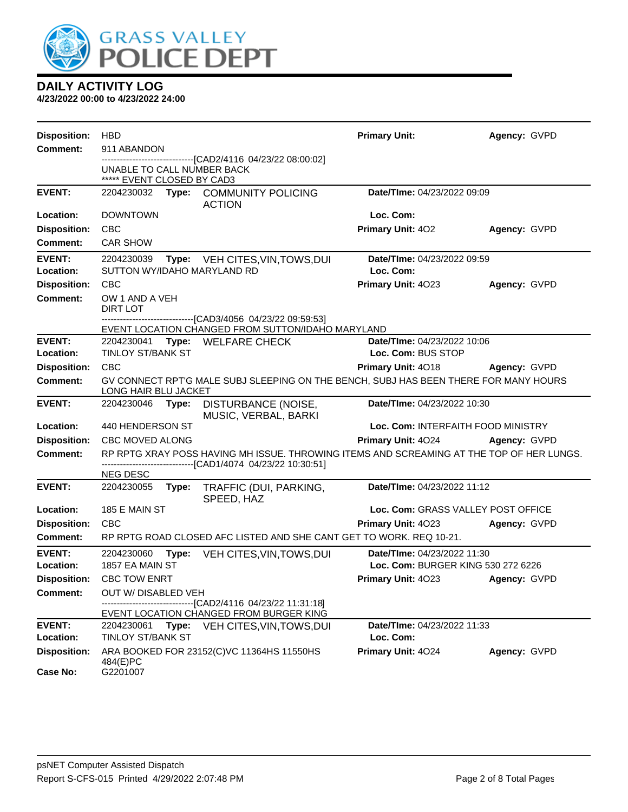

| <b>Disposition:</b>        | <b>HBD</b>                                                                                                   |       |                                                                                                                                            | <b>Primary Unit:</b>                              | Agency: GVPD |
|----------------------------|--------------------------------------------------------------------------------------------------------------|-------|--------------------------------------------------------------------------------------------------------------------------------------------|---------------------------------------------------|--------------|
| <b>Comment:</b>            | 911 ABANDON                                                                                                  |       |                                                                                                                                            |                                                   |              |
|                            | UNABLE TO CALL NUMBER BACK<br>***** EVENT CLOSED BY CAD3                                                     |       | -------------------------[CAD2/4116 04/23/22 08:00:02]                                                                                     |                                                   |              |
| <b>EVENT:</b>              | 2204230032                                                                                                   |       | Type: COMMUNITY POLICING<br><b>ACTION</b>                                                                                                  | Date/TIme: 04/23/2022 09:09                       |              |
| Location:                  | <b>DOWNTOWN</b>                                                                                              |       |                                                                                                                                            | Loc. Com:                                         |              |
| <b>Disposition:</b>        | <b>CBC</b>                                                                                                   |       |                                                                                                                                            | Primary Unit: 402                                 | Agency: GVPD |
| <b>Comment:</b>            | <b>CAR SHOW</b>                                                                                              |       |                                                                                                                                            |                                                   |              |
| <b>EVENT:</b>              | 2204230039                                                                                                   |       | Type: VEH CITES, VIN, TOWS, DUI                                                                                                            | Date/TIme: 04/23/2022 09:59                       |              |
| Location:                  |                                                                                                              |       | SUTTON WY/IDAHO MARYLAND RD                                                                                                                | Loc. Com:                                         |              |
| <b>Disposition:</b>        | <b>CBC</b>                                                                                                   |       |                                                                                                                                            | Primary Unit: 4023                                | Agency: GVPD |
| <b>Comment:</b>            | OW 1 AND A VEH<br>DIRT LOT                                                                                   |       |                                                                                                                                            |                                                   |              |
|                            |                                                                                                              |       | --------------------------------[CAD3/4056_04/23/22_09:59:53]<br>EVENT LOCATION CHANGED FROM SUTTON/IDAHO MARYLAND                         |                                                   |              |
| <b>EVENT:</b><br>Location: | 2204230041<br><b>TINLOY ST/BANK ST</b>                                                                       |       | Type: WELFARE CHECK                                                                                                                        | Date/TIme: 04/23/2022 10:06<br>Loc. Com: BUS STOP |              |
| <b>Disposition:</b>        | <b>CBC</b>                                                                                                   |       |                                                                                                                                            | <b>Primary Unit: 4018</b>                         | Agency: GVPD |
| <b>Comment:</b>            | GV CONNECT RPT'G MALE SUBJ SLEEPING ON THE BENCH, SUBJ HAS BEEN THERE FOR MANY HOURS<br>LONG HAIR BLU JACKET |       |                                                                                                                                            |                                                   |              |
| <b>EVENT:</b>              | 2204230046 Type:                                                                                             |       | DISTURBANCE (NOISE,<br>MUSIC, VERBAL, BARKI                                                                                                | Date/TIme: 04/23/2022 10:30                       |              |
| Location:                  | 440 HENDERSON ST                                                                                             |       |                                                                                                                                            | Loc. Com: INTERFAITH FOOD MINISTRY                |              |
| <b>Disposition:</b>        | CBC MOVED ALONG                                                                                              |       |                                                                                                                                            | Primary Unit: 4024                                | Agency: GVPD |
| <b>Comment:</b>            |                                                                                                              |       | RP RPTG XRAY POSS HAVING MH ISSUE. THROWING ITEMS AND SCREAMING AT THE TOP OF HER LUNGS.<br>-----------------[CAD1/4074_04/23/22 10:30:51] |                                                   |              |
| <b>EVENT:</b>              | NEG DESC<br>2204230055                                                                                       | Type: | TRAFFIC (DUI, PARKING,                                                                                                                     | Date/TIme: 04/23/2022 11:12                       |              |
| Location:                  | 185 E MAIN ST                                                                                                |       | SPEED, HAZ                                                                                                                                 | Loc. Com: GRASS VALLEY POST OFFICE                |              |
| <b>Disposition:</b>        | <b>CBC</b>                                                                                                   |       |                                                                                                                                            | Primary Unit: 4023                                | Agency: GVPD |
| <b>Comment:</b>            |                                                                                                              |       | RP RPTG ROAD CLOSED AFC LISTED AND SHE CANT GET TO WORK. REQ 10-21.                                                                        |                                                   |              |
| <b>EVENT:</b>              | 2204230060                                                                                                   | Type: | VEH CITES, VIN, TOWS, DUI                                                                                                                  | Date/TIme: 04/23/2022 11:30                       |              |
| Location:                  | 1857 EA MAIN ST                                                                                              |       |                                                                                                                                            | Loc. Com: BURGER KING 530 272 6226                |              |
| <b>Disposition:</b>        | <b>CBC TOW ENRT</b>                                                                                          |       |                                                                                                                                            | Primary Unit: 4023                                | Agency: GVPD |
| <b>Comment:</b>            | OUT W/ DISABLED VEH                                                                                          |       |                                                                                                                                            |                                                   |              |
|                            |                                                                                                              |       | ------[CAD2/4116 04/23/22 11:31:18]<br>EVENT LOCATION CHANGED FROM BURGER KING                                                             |                                                   |              |
| <b>EVENT:</b>              | 2204230061                                                                                                   | Type: | VEH CITES, VIN, TOWS, DUI                                                                                                                  | Date/TIme: 04/23/2022 11:33                       |              |
| Location:                  | <b>TINLOY ST/BANK ST</b>                                                                                     |       |                                                                                                                                            | Loc. Com:                                         |              |
| <b>Disposition:</b>        | 484(E)PC                                                                                                     |       | ARA BOOKED FOR 23152(C)VC 11364HS 11550HS                                                                                                  | Primary Unit: 4024                                | Agency: GVPD |
| <b>Case No:</b>            | G2201007                                                                                                     |       |                                                                                                                                            |                                                   |              |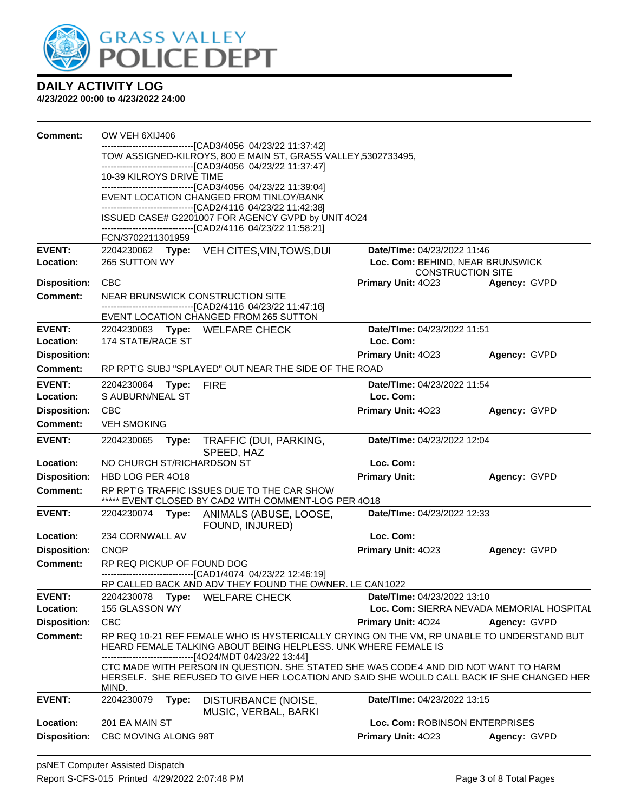

| <b>Comment:</b>            | OW VEH 6XIJ406                                                                                                                 |                                                                                                                                                                                  |                                                                          |              |  |  |
|----------------------------|--------------------------------------------------------------------------------------------------------------------------------|----------------------------------------------------------------------------------------------------------------------------------------------------------------------------------|--------------------------------------------------------------------------|--------------|--|--|
|                            | -------------------------------[CAD3/4056_04/23/22 11:37:42]<br>TOW ASSIGNED-KILROYS, 800 E MAIN ST, GRASS VALLEY, 5302733495, |                                                                                                                                                                                  |                                                                          |              |  |  |
|                            |                                                                                                                                | --------------------------------[CAD3/4056 04/23/22 11:37:47]                                                                                                                    |                                                                          |              |  |  |
|                            | 10-39 KILROYS DRIVE TIME                                                                                                       | -------------------------------[CAD3/4056 04/23/22 11:39:04]                                                                                                                     |                                                                          |              |  |  |
|                            |                                                                                                                                | EVENT LOCATION CHANGED FROM TINLOY/BANK                                                                                                                                          |                                                                          |              |  |  |
|                            |                                                                                                                                | --------------------------------[CAD2/4116 04/23/22 11:42:38]<br>ISSUED CASE# G2201007 FOR AGENCY GVPD by UNIT 4O24                                                              |                                                                          |              |  |  |
|                            |                                                                                                                                | -------------------------------[CAD2/4116 04/23/22 11:58:21]                                                                                                                     |                                                                          |              |  |  |
| <b>EVENT:</b>              | FCN/3702211301959                                                                                                              | 2204230062 Type: VEH CITES, VIN, TOWS, DUI                                                                                                                                       | <b>Date/TIme: 04/23/2022 11:46</b>                                       |              |  |  |
| Location:                  | 265 SUTTON WY                                                                                                                  |                                                                                                                                                                                  | Loc. Com: BEHIND, NEAR BRUNSWICK                                         |              |  |  |
| <b>Disposition:</b>        | CBC                                                                                                                            |                                                                                                                                                                                  | <b>CONSTRUCTION SITE</b><br>Primary Unit: 4023                           | Agency: GVPD |  |  |
| <b>Comment:</b>            | NEAR BRUNSWICK CONSTRUCTION SITE                                                                                               |                                                                                                                                                                                  |                                                                          |              |  |  |
|                            |                                                                                                                                | ------------------------------[CAD2/4116 04/23/22 11:47:16]                                                                                                                      |                                                                          |              |  |  |
| <b>EVENT:</b>              |                                                                                                                                | EVENT LOCATION CHANGED FROM 265 SUTTON                                                                                                                                           | Date/TIme: 04/23/2022 11:51                                              |              |  |  |
| Location:                  | 174 STATE/RACE ST                                                                                                              | 2204230063 Type: WELFARE CHECK                                                                                                                                                   | Loc. Com:                                                                |              |  |  |
| <b>Disposition:</b>        |                                                                                                                                |                                                                                                                                                                                  | <b>Primary Unit: 4023</b>                                                | Agency: GVPD |  |  |
| Comment:                   |                                                                                                                                | RP RPT'G SUBJ "SPLAYED" OUT NEAR THE SIDE OF THE ROAD                                                                                                                            |                                                                          |              |  |  |
| <b>EVENT:</b>              | 2204230064<br>Type:                                                                                                            | <b>FIRE</b>                                                                                                                                                                      | Date/TIme: 04/23/2022 11:54                                              |              |  |  |
| Location:                  | S AUBURN/NEAL ST                                                                                                               |                                                                                                                                                                                  | Loc. Com:                                                                |              |  |  |
| <b>Disposition:</b>        | CBC                                                                                                                            |                                                                                                                                                                                  | Primary Unit: 4023                                                       | Agency: GVPD |  |  |
| Comment:                   | <b>VEH SMOKING</b>                                                                                                             |                                                                                                                                                                                  |                                                                          |              |  |  |
| <b>EVENT:</b>              | 2204230065<br>Type:                                                                                                            | TRAFFIC (DUI, PARKING,<br>SPEED, HAZ                                                                                                                                             | Date/TIme: 04/23/2022 12:04                                              |              |  |  |
| Location:                  | NO CHURCH ST/RICHARDSON ST                                                                                                     |                                                                                                                                                                                  | Loc. Com:                                                                |              |  |  |
| <b>Disposition:</b>        | HBD LOG PER 4018                                                                                                               |                                                                                                                                                                                  | <b>Primary Unit:</b>                                                     | Agency: GVPD |  |  |
| <b>Comment:</b>            |                                                                                                                                | RP RPT'G TRAFFIC ISSUES DUE TO THE CAR SHOW<br>***** EVENT CLOSED BY CAD2 WITH COMMENT-LOG PER 4018                                                                              |                                                                          |              |  |  |
| <b>EVENT:</b>              | 2204230074                                                                                                                     | Type: ANIMALS (ABUSE, LOOSE,<br>FOUND, INJURED)                                                                                                                                  | Date/TIme: 04/23/2022 12:33                                              |              |  |  |
| Location:                  | 234 CORNWALL AV                                                                                                                |                                                                                                                                                                                  | Loc. Com:                                                                |              |  |  |
| <b>Disposition:</b>        | <b>CNOP</b>                                                                                                                    |                                                                                                                                                                                  | Primary Unit: 4023                                                       | Agency: GVPD |  |  |
| <b>Comment:</b>            | RP REQ PICKUP OF FOUND DOG                                                                                                     | -------------------------------[CAD1/4074_04/23/22 12:46:19]                                                                                                                     |                                                                          |              |  |  |
|                            |                                                                                                                                | RP CALLED BACK AND ADV THEY FOUND THE OWNER. LE CAN1022                                                                                                                          |                                                                          |              |  |  |
| <b>EVENT:</b><br>Location: | 2204230078<br>Type:<br>155 GLASSON WY                                                                                          | <b>WELFARE CHECK</b>                                                                                                                                                             | Date/TIme: 04/23/2022 13:10<br>Loc. Com: SIERRA NEVADA MEMORIAL HOSPITAL |              |  |  |
| <b>Disposition:</b>        | <b>CBC</b>                                                                                                                     |                                                                                                                                                                                  | <b>Primary Unit: 4024</b>                                                | Agency: GVPD |  |  |
| <b>Comment:</b>            |                                                                                                                                | RP REQ 10-21 REF FEMALE WHO IS HYSTERICALLY CRYING ON THE VM, RP UNABLE TO UNDERSTAND BUT                                                                                        |                                                                          |              |  |  |
|                            | HEARD FEMALE TALKING ABOUT BEING HELPLESS. UNK WHERE FEMALE IS<br>--------------------------------[4O24/MDT 04/23/22 13:44]    |                                                                                                                                                                                  |                                                                          |              |  |  |
|                            | MIND.                                                                                                                          | CTC MADE WITH PERSON IN QUESTION. SHE STATED SHE WAS CODE4 AND DID NOT WANT TO HARM<br>HERSELF. SHE REFUSED TO GIVE HER LOCATION AND SAID SHE WOULD CALL BACK IF SHE CHANGED HER |                                                                          |              |  |  |
| <b>EVENT:</b>              | 2204230079<br>Type:                                                                                                            | DISTURBANCE (NOISE,                                                                                                                                                              | <b>Date/TIme: 04/23/2022 13:15</b>                                       |              |  |  |
| Location:                  | 201 EA MAIN ST                                                                                                                 | MUSIC, VERBAL, BARKI                                                                                                                                                             | Loc. Com: ROBINSON ENTERPRISES                                           |              |  |  |
| <b>Disposition:</b>        | CBC MOVING ALONG 98T                                                                                                           |                                                                                                                                                                                  | Primary Unit: 4023                                                       | Agency: GVPD |  |  |
|                            |                                                                                                                                |                                                                                                                                                                                  |                                                                          |              |  |  |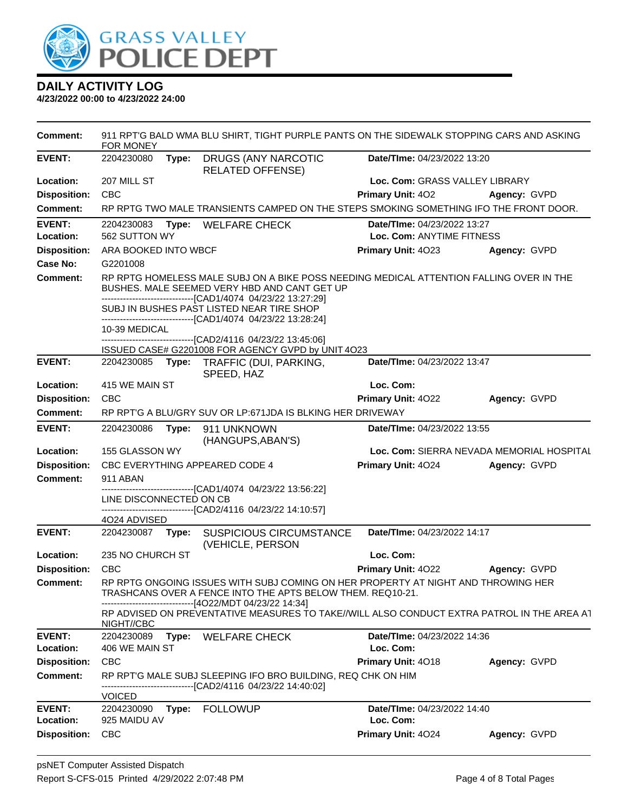

| Comment:            | FOR MONEY                                                        |       | 911 RPT'G BALD WMA BLU SHIRT, TIGHT PURPLE PANTS ON THE SIDEWALK STOPPING CARS AND ASKING                                                                                                               |                                           |              |  |
|---------------------|------------------------------------------------------------------|-------|---------------------------------------------------------------------------------------------------------------------------------------------------------------------------------------------------------|-------------------------------------------|--------------|--|
| <b>EVENT:</b>       | 2204230080                                                       | Type: | DRUGS (ANY NARCOTIC<br><b>RELATED OFFENSE)</b>                                                                                                                                                          | Date/TIme: 04/23/2022 13:20               |              |  |
| Location:           | 207 MILL ST                                                      |       |                                                                                                                                                                                                         | Loc. Com: GRASS VALLEY LIBRARY            |              |  |
| <b>Disposition:</b> | <b>CBC</b>                                                       |       |                                                                                                                                                                                                         | Primary Unit: 402                         | Agency: GVPD |  |
| Comment:            |                                                                  |       | RP RPTG TWO MALE TRANSIENTS CAMPED ON THE STEPS SMOKING SOMETHING IFO THE FRONT DOOR.                                                                                                                   |                                           |              |  |
| <b>EVENT:</b>       | Date/TIme: 04/23/2022 13:27<br>2204230083<br>Type: WELFARE CHECK |       |                                                                                                                                                                                                         |                                           |              |  |
| Location:           | 562 SUTTON WY                                                    |       |                                                                                                                                                                                                         | Loc. Com: ANYTIME FITNESS                 |              |  |
| <b>Disposition:</b> | ARA BOOKED INTO WBCF                                             |       |                                                                                                                                                                                                         | Primary Unit: 4023                        | Agency: GVPD |  |
| Case No:            | G2201008                                                         |       |                                                                                                                                                                                                         |                                           |              |  |
| Comment:            |                                                                  |       | RP RPTG HOMELESS MALE SUBJ ON A BIKE POSS NEEDING MEDICAL ATTENTION FALLING OVER IN THE<br>BUSHES, MALE SEEMED VERY HBD AND CANT GET UP<br>-------------------------------[CAD1/4074 04/23/22 13:27:29] |                                           |              |  |
|                     |                                                                  |       | SUBJ IN BUSHES PAST LISTED NEAR TIRE SHOP<br>------------------------------[CAD1/4074 04/23/22 13:28:24]                                                                                                |                                           |              |  |
|                     | 10-39 MEDICAL                                                    |       | -------------------[CAD2/4116 04/23/22 13:45:06]                                                                                                                                                        |                                           |              |  |
|                     |                                                                  |       | ISSUED CASE# G2201008 FOR AGENCY GVPD by UNIT 4O23                                                                                                                                                      |                                           |              |  |
| <b>EVENT:</b>       | 2204230085                                                       | Type: | TRAFFIC (DUI, PARKING,<br>SPEED, HAZ                                                                                                                                                                    | Date/TIme: 04/23/2022 13:47               |              |  |
| Location:           | 415 WE MAIN ST                                                   |       |                                                                                                                                                                                                         | Loc. Com:                                 |              |  |
| <b>Disposition:</b> | <b>CBC</b>                                                       |       |                                                                                                                                                                                                         | Primary Unit: 4022                        | Agency: GVPD |  |
| <b>Comment:</b>     |                                                                  |       | RP RPT'G A BLU/GRY SUV OR LP:671JDA IS BLKING HER DRIVEWAY                                                                                                                                              |                                           |              |  |
| <b>EVENT:</b>       | 2204230086                                                       | Type: | 911 UNKNOWN<br>(HANGUPS, ABAN'S)                                                                                                                                                                        | Date/TIme: 04/23/2022 13:55               |              |  |
| Location:           | 155 GLASSON WY                                                   |       |                                                                                                                                                                                                         | Loc. Com: SIERRA NEVADA MEMORIAL HOSPITAL |              |  |
| <b>Disposition:</b> |                                                                  |       | CBC EVERYTHING APPEARED CODE 4                                                                                                                                                                          | Primary Unit: 4024                        | Agency: GVPD |  |
| <b>Comment:</b>     | 911 ABAN                                                         |       | -------------------------------[CAD1/4074 04/23/22 13:56:22]                                                                                                                                            |                                           |              |  |
|                     | LINE DISCONNECTED ON CB                                          |       |                                                                                                                                                                                                         |                                           |              |  |
|                     |                                                                  |       | ------------------------------[CAD2/4116 04/23/22 14:10:57]                                                                                                                                             |                                           |              |  |
| <b>EVENT:</b>       | 4024 ADVISED<br>2204230087 Type:                                 |       | <b>SUSPICIOUS CIRCUMSTANCE</b>                                                                                                                                                                          | Date/TIme: 04/23/2022 14:17               |              |  |
|                     |                                                                  |       | (VEHICLE, PERSON                                                                                                                                                                                        |                                           |              |  |
| Location:           | 235 NO CHURCH ST                                                 |       |                                                                                                                                                                                                         | Loc. Com:                                 |              |  |
| <b>Disposition:</b> | <b>CBC</b>                                                       |       |                                                                                                                                                                                                         | <b>Primary Unit: 4022</b>                 | Agency: GVPD |  |
| <b>Comment:</b>     |                                                                  |       | RP RPTG ONGOING ISSUES WITH SUBJ COMING ON HER PROPERTY AT NIGHT AND THROWING HER<br>TRASHCANS OVER A FENCE INTO THE APTS BELOW THEM. REQ10-21.<br>----------------------[4O22/MDT 04/23/22 14:34]      |                                           |              |  |
|                     | NIGHT//CBC                                                       |       | RP ADVISED ON PREVENTATIVE MEASURES TO TAKE//WILL ALSO CONDUCT EXTRA PATROL IN THE AREA AT                                                                                                              |                                           |              |  |
| <b>EVENT:</b>       | 2204230089                                                       | Type: | <b>WELFARE CHECK</b>                                                                                                                                                                                    | Date/TIme: 04/23/2022 14:36               |              |  |
| Location:           | 406 WE MAIN ST                                                   |       |                                                                                                                                                                                                         | Loc. Com:                                 |              |  |
| <b>Disposition:</b> | CBC                                                              |       |                                                                                                                                                                                                         | Primary Unit: 4018                        | Agency: GVPD |  |
| <b>Comment:</b>     | <b>VOICED</b>                                                    |       | RP RPT'G MALE SUBJ SLEEPING IFO BRO BUILDING, REQ CHK ON HIM<br>----------------------------------[CAD2/4116 04/23/22 14:40:02]                                                                         |                                           |              |  |
| <b>EVENT:</b>       | 2204230090                                                       | Type: | <b>FOLLOWUP</b>                                                                                                                                                                                         | <b>Date/TIme: 04/23/2022 14:40</b>        |              |  |
| Location:           | 925 MAIDU AV                                                     |       |                                                                                                                                                                                                         | Loc. Com:                                 |              |  |
| <b>Disposition:</b> | <b>CBC</b>                                                       |       |                                                                                                                                                                                                         | Primary Unit: 4024                        | Agency: GVPD |  |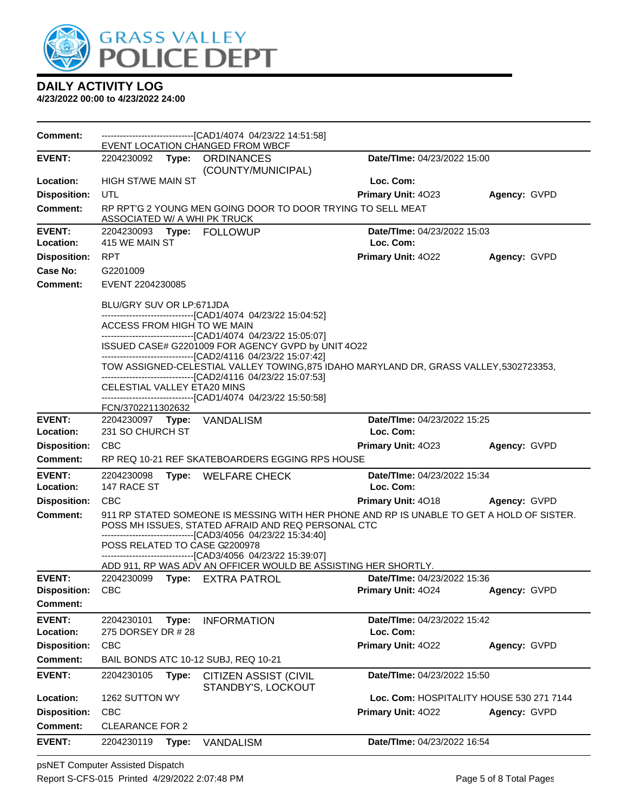

| <b>Comment:</b>            |                                                                                                                                                                                                                          |       | -------------------------------[CAD1/4074 04/23/22 14:51:58]<br>EVENT LOCATION CHANGED FROM WBCF                                                |                                          |              |
|----------------------------|--------------------------------------------------------------------------------------------------------------------------------------------------------------------------------------------------------------------------|-------|-------------------------------------------------------------------------------------------------------------------------------------------------|------------------------------------------|--------------|
| <b>EVENT:</b>              |                                                                                                                                                                                                                          |       | 2204230092 Type: ORDINANCES<br>(COUNTY/MUNICIPAL)                                                                                               | Date/TIme: 04/23/2022 15:00              |              |
| Location:                  | <b>HIGH ST/WE MAIN ST</b>                                                                                                                                                                                                |       |                                                                                                                                                 | Loc. Com:                                |              |
| <b>Disposition:</b>        | UTL                                                                                                                                                                                                                      |       |                                                                                                                                                 | Primary Unit: 4023                       | Agency: GVPD |
| <b>Comment:</b>            | ASSOCIATED W/ A WHI PK TRUCK                                                                                                                                                                                             |       | RP RPT'G 2 YOUNG MEN GOING DOOR TO DOOR TRYING TO SELL MEAT                                                                                     |                                          |              |
| <b>EVENT:</b>              |                                                                                                                                                                                                                          |       | 2204230093 Type: FOLLOWUP                                                                                                                       | Date/TIme: 04/23/2022 15:03              |              |
| Location:                  | 415 WE MAIN ST                                                                                                                                                                                                           |       |                                                                                                                                                 | Loc. Com:                                |              |
| <b>Disposition:</b>        | <b>RPT</b>                                                                                                                                                                                                               |       |                                                                                                                                                 | Primary Unit: 4022                       | Agency: GVPD |
| Case No:                   | G2201009                                                                                                                                                                                                                 |       |                                                                                                                                                 |                                          |              |
| <b>Comment:</b>            | EVENT 2204230085                                                                                                                                                                                                         |       |                                                                                                                                                 |                                          |              |
|                            | BLU/GRY SUV OR LP:671JDA                                                                                                                                                                                                 |       | -------------------------------[CAD1/4074 04/23/22 15:04:52]                                                                                    |                                          |              |
|                            | ACCESS FROM HIGH TO WE MAIN                                                                                                                                                                                              |       | -------------------------------[CAD1/4074 04/23/22 15:05:07]                                                                                    |                                          |              |
|                            |                                                                                                                                                                                                                          |       | ISSUED CASE# G2201009 FOR AGENCY GVPD by UNIT 4O22                                                                                              |                                          |              |
|                            | --------------------------------[CAD2/4116 04/23/22 15:07:42]<br>TOW ASSIGNED-CELESTIAL VALLEY TOWING, 875 IDAHO MARYLAND DR, GRASS VALLEY, 5302723353,<br>--------------------------------[CAD2/4116 04/23/22 15:07:53] |       |                                                                                                                                                 |                                          |              |
|                            | CELESTIAL VALLEY ETA20 MINS                                                                                                                                                                                              |       | -------------------------------[CAD1/4074 04/23/22 15:50:58]                                                                                    |                                          |              |
|                            | FCN/3702211302632                                                                                                                                                                                                        |       |                                                                                                                                                 |                                          |              |
| <b>EVENT:</b><br>Location: | 2204230097 Type:<br>231 SO CHURCH ST                                                                                                                                                                                     |       | VANDALISM                                                                                                                                       | Date/TIme: 04/23/2022 15:25<br>Loc. Com: |              |
| <b>Disposition:</b>        | <b>CBC</b>                                                                                                                                                                                                               |       |                                                                                                                                                 | <b>Primary Unit: 4023</b>                | Agency: GVPD |
| Comment:                   |                                                                                                                                                                                                                          |       | RP REQ 10-21 REF SKATEBOARDERS EGGING RPS HOUSE                                                                                                 |                                          |              |
| <b>EVENT:</b>              | Date/TIme: 04/23/2022 15:34<br>2204230098<br>Type: WELFARE CHECK                                                                                                                                                         |       |                                                                                                                                                 |                                          |              |
| Location:                  | 147 RACE ST                                                                                                                                                                                                              |       |                                                                                                                                                 | Loc. Com:                                |              |
| <b>Disposition:</b>        | <b>CBC</b>                                                                                                                                                                                                               |       |                                                                                                                                                 | Primary Unit: 4018                       | Agency: GVPD |
| Comment:                   |                                                                                                                                                                                                                          |       | 911 RP STATED SOMEONE IS MESSING WITH HER PHONE AND RP IS UNABLE TO GET A HOLD OF SISTER.<br>POSS MH ISSUES, STATED AFRAID AND REQ PERSONAL CTC |                                          |              |
|                            |                                                                                                                                                                                                                          |       | --------------------------------[CAD3/4056_04/23/22 15:34:40]<br>POSS RELATED TO CASE G2200978                                                  |                                          |              |
|                            |                                                                                                                                                                                                                          |       | -------------------------------[CAD3/4056 04/23/22 15:39:07]                                                                                    |                                          |              |
| <b>EVENT:</b>              | 2204230099                                                                                                                                                                                                               |       | ADD 911, RP WAS ADV AN OFFICER WOULD BE ASSISTING HER SHORTLY.<br>Type: EXTRA PATROL                                                            | <b>Date/TIme: 04/23/2022 15:36</b>       |              |
| <b>Disposition:</b>        | <b>CBC</b>                                                                                                                                                                                                               |       |                                                                                                                                                 | Primary Unit: 4024                       | Agency: GVPD |
| <b>Comment:</b>            |                                                                                                                                                                                                                          |       |                                                                                                                                                 |                                          |              |
| <b>EVENT:</b>              | 2204230101                                                                                                                                                                                                               | Type: | <b>INFORMATION</b>                                                                                                                              | Date/TIme: 04/23/2022 15:42              |              |
| Location:                  | 275 DORSEY DR # 28<br>Loc. Com:                                                                                                                                                                                          |       |                                                                                                                                                 |                                          |              |
| <b>Disposition:</b>        | <b>CBC</b>                                                                                                                                                                                                               |       |                                                                                                                                                 | Primary Unit: 4022                       | Agency: GVPD |
| <b>Comment:</b>            |                                                                                                                                                                                                                          |       | BAIL BONDS ATC 10-12 SUBJ, REQ 10-21                                                                                                            |                                          |              |
| <b>EVENT:</b>              | 2204230105                                                                                                                                                                                                               | Type: | <b>CITIZEN ASSIST (CIVIL</b><br>STANDBY'S, LOCKOUT                                                                                              | Date/TIme: 04/23/2022 15:50              |              |
| Location:                  | 1262 SUTTON WY<br>Loc. Com: HOSPITALITY HOUSE 530 271 7144                                                                                                                                                               |       |                                                                                                                                                 |                                          |              |
| <b>Disposition:</b>        | <b>CBC</b>                                                                                                                                                                                                               |       |                                                                                                                                                 | Primary Unit: 4022                       | Agency: GVPD |
| <b>Comment:</b>            | <b>CLEARANCE FOR 2</b>                                                                                                                                                                                                   |       |                                                                                                                                                 |                                          |              |
| <b>EVENT:</b>              | 2204230119                                                                                                                                                                                                               | Type: | <b>VANDALISM</b>                                                                                                                                | Date/TIme: 04/23/2022 16:54              |              |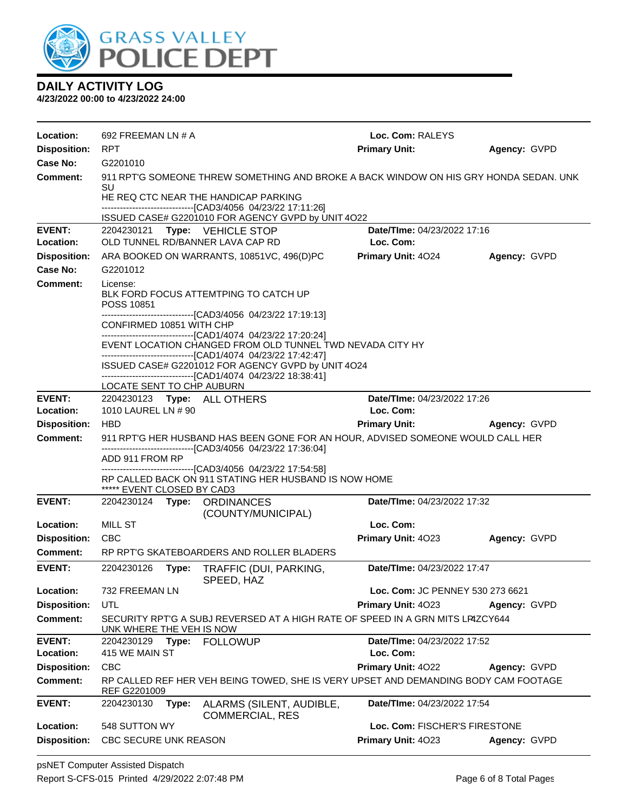

| Location:           | 692 FREEMAN LN # A                                                                                                                               |       |                                                                                                                               | Loc. Com: RALEYS                 |              |  |
|---------------------|--------------------------------------------------------------------------------------------------------------------------------------------------|-------|-------------------------------------------------------------------------------------------------------------------------------|----------------------------------|--------------|--|
| <b>Disposition:</b> | <b>RPT</b>                                                                                                                                       |       |                                                                                                                               | <b>Primary Unit:</b>             | Agency: GVPD |  |
| Case No:            | G2201010                                                                                                                                         |       |                                                                                                                               |                                  |              |  |
| Comment:            | 911 RPT'G SOMEONE THREW SOMETHING AND BROKE A BACK WINDOW ON HIS GRY HONDA SEDAN. UNK<br>SU                                                      |       |                                                                                                                               |                                  |              |  |
|                     |                                                                                                                                                  |       | HE REQ CTC NEAR THE HANDICAP PARKING                                                                                          |                                  |              |  |
|                     |                                                                                                                                                  |       | ------------------------------[CAD3/4056 04/23/22 17:11:26]                                                                   |                                  |              |  |
| <b>EVENT:</b>       | 2204230121                                                                                                                                       |       | ISSUED CASE# G2201010 FOR AGENCY GVPD by UNIT 4O22                                                                            | Date/TIme: 04/23/2022 17:16      |              |  |
| Location:           |                                                                                                                                                  |       | <b>Type: VEHICLE STOP</b><br>OLD TUNNEL RD/BANNER LAVA CAP RD                                                                 | Loc. Com:                        |              |  |
| <b>Disposition:</b> |                                                                                                                                                  |       | ARA BOOKED ON WARRANTS, 10851VC, 496(D)PC                                                                                     | <b>Primary Unit: 4024</b>        | Agency: GVPD |  |
| Case No:            | G2201012                                                                                                                                         |       |                                                                                                                               |                                  |              |  |
| Comment:            | License:                                                                                                                                         |       |                                                                                                                               |                                  |              |  |
|                     | POSS 10851                                                                                                                                       |       | BLK FORD FOCUS ATTEMTPING TO CATCH UP                                                                                         |                                  |              |  |
|                     | CONFIRMED 10851 WITH CHP                                                                                                                         |       | --------------------------------[CAD3/4056 04/23/22 17:19:13]<br>-------------------------------[CAD1/4074 04/23/22 17:20:24] |                                  |              |  |
|                     |                                                                                                                                                  |       | EVENT LOCATION CHANGED FROM OLD TUNNEL TWD NEVADA CITY HY                                                                     |                                  |              |  |
|                     |                                                                                                                                                  |       | ------------------------------[CAD1/4074 04/23/22 17:42:47]                                                                   |                                  |              |  |
|                     |                                                                                                                                                  |       | ISSUED CASE# G2201012 FOR AGENCY GVPD by UNIT 4024<br>-------------------------------[CAD1/4074 04/23/22 18:38:41]            |                                  |              |  |
|                     | LOCATE SENT TO CHP AUBURN                                                                                                                        |       |                                                                                                                               |                                  |              |  |
| <b>EVENT:</b>       |                                                                                                                                                  |       | 2204230123 Type: ALL OTHERS                                                                                                   | Date/TIme: 04/23/2022 17:26      |              |  |
| Location:           | 1010 LAUREL LN # 90                                                                                                                              |       |                                                                                                                               | Loc. Com:                        |              |  |
| <b>Disposition:</b> | <b>HBD</b>                                                                                                                                       |       |                                                                                                                               | <b>Primary Unit:</b>             | Agency: GVPD |  |
| <b>Comment:</b>     | 911 RPT'G HER HUSBAND HAS BEEN GONE FOR AN HOUR, ADVISED SOMEONE WOULD CALL HER<br>--------------------------------[CAD3/4056 04/23/22 17:36:04] |       |                                                                                                                               |                                  |              |  |
|                     | ADD 911 FROM RP                                                                                                                                  |       |                                                                                                                               |                                  |              |  |
|                     |                                                                                                                                                  |       | --------------------------------[CAD3/4056 04/23/22 17:54:58]<br>RP CALLED BACK ON 911 STATING HER HUSBAND IS NOW HOME        |                                  |              |  |
|                     | ***** EVENT CLOSED BY CAD3                                                                                                                       |       |                                                                                                                               |                                  |              |  |
| <b>EVENT:</b>       |                                                                                                                                                  |       | 2204230124 Type: ORDINANCES<br>(COUNTY/MUNICIPAL)                                                                             | Date/TIme: 04/23/2022 17:32      |              |  |
| Location:           | MILL ST                                                                                                                                          |       |                                                                                                                               | Loc. Com:                        |              |  |
| <b>Disposition:</b> | <b>CBC</b>                                                                                                                                       |       |                                                                                                                               | Primary Unit: 4023               | Agency: GVPD |  |
| Comment:            |                                                                                                                                                  |       | RP RPT'G SKATEBOARDERS AND ROLLER BLADERS                                                                                     |                                  |              |  |
| <b>EVENT:</b>       | 2204230126                                                                                                                                       | Type: | TRAFFIC (DUI, PARKING,<br>SPEED, HAZ                                                                                          | Date/TIme: 04/23/2022 17:47      |              |  |
| Location:           | 732 FREEMAN LN                                                                                                                                   |       |                                                                                                                               | Loc. Com: JC PENNEY 530 273 6621 |              |  |
| <b>Disposition:</b> | UTL                                                                                                                                              |       |                                                                                                                               | Primary Unit: 4023               | Agency: GVPD |  |
| <b>Comment:</b>     | SECURITY RPT'G A SUBJ REVERSED AT A HIGH RATE OF SPEED IN A GRN MITS LP4ZCY644<br>UNK WHERE THE VEH IS NOW                                       |       |                                                                                                                               |                                  |              |  |
| <b>EVENT:</b>       | 2204230129                                                                                                                                       | Type: | <b>FOLLOWUP</b>                                                                                                               | Date/TIme: 04/23/2022 17:52      |              |  |
| Location:           | 415 WE MAIN ST                                                                                                                                   |       |                                                                                                                               | Loc. Com:                        |              |  |
| <b>Disposition:</b> | <b>CBC</b>                                                                                                                                       |       |                                                                                                                               | Primary Unit: 4022               | Agency: GVPD |  |
| <b>Comment:</b>     | RP CALLED REF HER VEH BEING TOWED, SHE IS VERY UPSET AND DEMANDING BODY CAM FOOTAGE<br>REF G2201009                                              |       |                                                                                                                               |                                  |              |  |
| <b>EVENT:</b>       | 2204230130                                                                                                                                       | Type: | ALARMS (SILENT, AUDIBLE,                                                                                                      | Date/TIme: 04/23/2022 17:54      |              |  |
| Location:           | 548 SUTTON WY                                                                                                                                    |       | <b>COMMERCIAL, RES</b>                                                                                                        | Loc. Com: FISCHER'S FIRESTONE    |              |  |
| <b>Disposition:</b> | CBC SECURE UNK REASON                                                                                                                            |       |                                                                                                                               | Primary Unit: 4023               | Agency: GVPD |  |
|                     |                                                                                                                                                  |       |                                                                                                                               |                                  |              |  |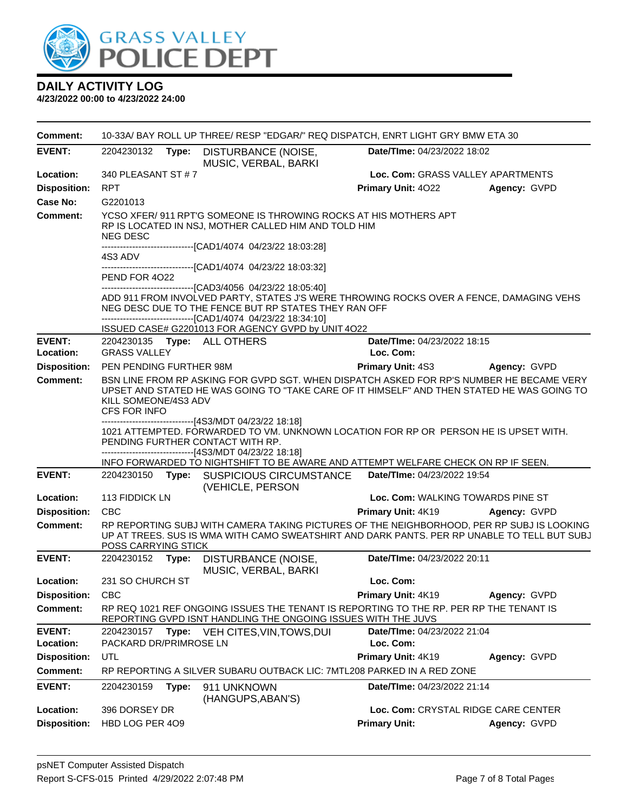

| <b>EVENT:</b><br>Date/TIme: 04/23/2022 18:02<br>2204230132<br>Type:<br>DISTURBANCE (NOISE,<br>MUSIC, VERBAL, BARKI<br>340 PLEASANT ST #7<br>Loc. Com: GRASS VALLEY APARTMENTS<br>Location:<br><b>Disposition:</b><br><b>RPT</b><br>Primary Unit: 4022<br>Agency: GVPD<br>Case No:<br>G2201013<br><b>Comment:</b><br>YCSO XFER/911 RPT'G SOMEONE IS THROWING ROCKS AT HIS MOTHERS APT<br>RP IS LOCATED IN NSJ, MOTHER CALLED HIM AND TOLD HIM<br><b>NEG DESC</b><br>-------------------------------[CAD1/4074 04/23/22 18:03:28]<br>4S3 ADV<br>----------------------[CAD1/4074 04/23/22 18:03:32]<br>PEND FOR 4022<br>---------------------------------[CAD3/4056 04/23/22 18:05:40]<br>ADD 911 FROM INVOLVED PARTY, STATES J'S WERE THROWING ROCKS OVER A FENCE, DAMAGING VEHS<br>NEG DESC DUE TO THE FENCE BUT RP STATES THEY RAN OFF<br>--------------------------------[CAD1/4074 04/23/22 18:34:10]<br>ISSUED CASE# G2201013 FOR AGENCY GVPD by UNIT 4O22<br><b>EVENT:</b><br>Date/TIme: 04/23/2022 18:15<br>2204230135    Type: ALL OTHERS<br><b>GRASS VALLEY</b><br>Location:<br>Loc. Com:<br><b>Disposition:</b><br>PEN PENDING FURTHER 98M<br><b>Primary Unit: 4S3</b><br>Agency: GVPD<br>BSN LINE FROM RP ASKING FOR GVPD SGT. WHEN DISPATCH ASKED FOR RP'S NUMBER HE BECAME VERY<br>Comment:<br>UPSET AND STATED HE WAS GOING TO "TAKE CARE OF IT HIMSELF" AND THEN STATED HE WAS GOING TO<br>KILL SOMEONE/4S3 ADV<br>CFS FOR INFO<br>-------------------------------[4S3/MDT 04/23/22 18:18]<br>1021 ATTEMPTED. FORWARDED TO VM. UNKNOWN LOCATION FOR RP OR PERSON HE IS UPSET WITH.<br>PENDING FURTHER CONTACT WITH RP.<br>------------------------------[4S3/MDT 04/23/22 18:18]<br>INFO FORWARDED TO NIGHTSHIFT TO BE AWARE AND ATTEMPT WELFARE CHECK ON RP IF SEEN.<br><b>EVENT:</b><br><b>SUSPICIOUS CIRCUMSTANCE</b><br>Date/TIme: 04/23/2022 19:54<br>2204230150<br>Type:<br>(VEHICLE, PERSON<br>113 FIDDICK LN<br>Loc. Com: WALKING TOWARDS PINE ST<br>Location:<br><b>Disposition:</b><br><b>CBC</b><br>Primary Unit: 4K19<br>Agency: GVPD<br><b>Comment:</b><br>RP REPORTING SUBJ WITH CAMERA TAKING PICTURES OF THE NEIGHBORHOOD, PER RP SUBJ IS LOOKING<br>UP AT TREES. SUS IS WMA WITH CAMO SWEATSHIRT AND DARK PANTS. PER RP UNABLE TO TELL BUT SUBJ<br>POSS CARRYING STICK<br><b>EVENT:</b><br>Date/TIme: 04/23/2022 20:11<br>2204230152<br>Type:<br>DISTURBANCE (NOISE,<br>MUSIC, VERBAL, BARKI<br>231 SO CHURCH ST<br>Loc. Com:<br>Location:<br><b>Disposition:</b><br><b>CBC</b><br>Primary Unit: 4K19<br>Agency: GVPD<br>RP REQ 1021 REF ONGOING ISSUES THE TENANT IS REPORTING TO THE RP. PER RP THE TENANT IS<br><b>Comment:</b><br>REPORTING GVPD ISNT HANDLING THE ONGOING ISSUES WITH THE JUVS<br><b>EVENT:</b><br>Date/TIme: 04/23/2022 21:04<br>2204230157<br>Type: VEH CITES, VIN, TOWS, DUI<br>PACKARD DR/PRIMROSE LN<br>Loc. Com:<br>Location:<br>UTL<br>Primary Unit: 4K19<br><b>Disposition:</b><br>Agency: GVPD<br>RP REPORTING A SILVER SUBARU OUTBACK LIC: 7MTL208 PARKED IN A RED ZONE | <b>Comment:</b> | 10-33A/ BAY ROLL UP THREE/ RESP "EDGAR/" REQ DISPATCH, ENRT LIGHT GRY BMW ETA 30 |  |  |  |  |
|---------------------------------------------------------------------------------------------------------------------------------------------------------------------------------------------------------------------------------------------------------------------------------------------------------------------------------------------------------------------------------------------------------------------------------------------------------------------------------------------------------------------------------------------------------------------------------------------------------------------------------------------------------------------------------------------------------------------------------------------------------------------------------------------------------------------------------------------------------------------------------------------------------------------------------------------------------------------------------------------------------------------------------------------------------------------------------------------------------------------------------------------------------------------------------------------------------------------------------------------------------------------------------------------------------------------------------------------------------------------------------------------------------------------------------------------------------------------------------------------------------------------------------------------------------------------------------------------------------------------------------------------------------------------------------------------------------------------------------------------------------------------------------------------------------------------------------------------------------------------------------------------------------------------------------------------------------------------------------------------------------------------------------------------------------------------------------------------------------------------------------------------------------------------------------------------------------------------------------------------------------------------------------------------------------------------------------------------------------------------------------------------------------------------------------------------------------------------------------------------------------------------------------------------------------------------------------------------------------------------------------------------------------------------------------------------------------------------------------------------------------------------------------------------------------------------------------------------------------------------------------------------------------------------------------------------------------------------------------------------------------------------------------------|-----------------|----------------------------------------------------------------------------------|--|--|--|--|
|                                                                                                                                                                                                                                                                                                                                                                                                                                                                                                                                                                                                                                                                                                                                                                                                                                                                                                                                                                                                                                                                                                                                                                                                                                                                                                                                                                                                                                                                                                                                                                                                                                                                                                                                                                                                                                                                                                                                                                                                                                                                                                                                                                                                                                                                                                                                                                                                                                                                                                                                                                                                                                                                                                                                                                                                                                                                                                                                                                                                                                       |                 |                                                                                  |  |  |  |  |
|                                                                                                                                                                                                                                                                                                                                                                                                                                                                                                                                                                                                                                                                                                                                                                                                                                                                                                                                                                                                                                                                                                                                                                                                                                                                                                                                                                                                                                                                                                                                                                                                                                                                                                                                                                                                                                                                                                                                                                                                                                                                                                                                                                                                                                                                                                                                                                                                                                                                                                                                                                                                                                                                                                                                                                                                                                                                                                                                                                                                                                       |                 |                                                                                  |  |  |  |  |
|                                                                                                                                                                                                                                                                                                                                                                                                                                                                                                                                                                                                                                                                                                                                                                                                                                                                                                                                                                                                                                                                                                                                                                                                                                                                                                                                                                                                                                                                                                                                                                                                                                                                                                                                                                                                                                                                                                                                                                                                                                                                                                                                                                                                                                                                                                                                                                                                                                                                                                                                                                                                                                                                                                                                                                                                                                                                                                                                                                                                                                       |                 |                                                                                  |  |  |  |  |
|                                                                                                                                                                                                                                                                                                                                                                                                                                                                                                                                                                                                                                                                                                                                                                                                                                                                                                                                                                                                                                                                                                                                                                                                                                                                                                                                                                                                                                                                                                                                                                                                                                                                                                                                                                                                                                                                                                                                                                                                                                                                                                                                                                                                                                                                                                                                                                                                                                                                                                                                                                                                                                                                                                                                                                                                                                                                                                                                                                                                                                       |                 |                                                                                  |  |  |  |  |
|                                                                                                                                                                                                                                                                                                                                                                                                                                                                                                                                                                                                                                                                                                                                                                                                                                                                                                                                                                                                                                                                                                                                                                                                                                                                                                                                                                                                                                                                                                                                                                                                                                                                                                                                                                                                                                                                                                                                                                                                                                                                                                                                                                                                                                                                                                                                                                                                                                                                                                                                                                                                                                                                                                                                                                                                                                                                                                                                                                                                                                       |                 |                                                                                  |  |  |  |  |
|                                                                                                                                                                                                                                                                                                                                                                                                                                                                                                                                                                                                                                                                                                                                                                                                                                                                                                                                                                                                                                                                                                                                                                                                                                                                                                                                                                                                                                                                                                                                                                                                                                                                                                                                                                                                                                                                                                                                                                                                                                                                                                                                                                                                                                                                                                                                                                                                                                                                                                                                                                                                                                                                                                                                                                                                                                                                                                                                                                                                                                       |                 |                                                                                  |  |  |  |  |
|                                                                                                                                                                                                                                                                                                                                                                                                                                                                                                                                                                                                                                                                                                                                                                                                                                                                                                                                                                                                                                                                                                                                                                                                                                                                                                                                                                                                                                                                                                                                                                                                                                                                                                                                                                                                                                                                                                                                                                                                                                                                                                                                                                                                                                                                                                                                                                                                                                                                                                                                                                                                                                                                                                                                                                                                                                                                                                                                                                                                                                       |                 |                                                                                  |  |  |  |  |
|                                                                                                                                                                                                                                                                                                                                                                                                                                                                                                                                                                                                                                                                                                                                                                                                                                                                                                                                                                                                                                                                                                                                                                                                                                                                                                                                                                                                                                                                                                                                                                                                                                                                                                                                                                                                                                                                                                                                                                                                                                                                                                                                                                                                                                                                                                                                                                                                                                                                                                                                                                                                                                                                                                                                                                                                                                                                                                                                                                                                                                       |                 |                                                                                  |  |  |  |  |
|                                                                                                                                                                                                                                                                                                                                                                                                                                                                                                                                                                                                                                                                                                                                                                                                                                                                                                                                                                                                                                                                                                                                                                                                                                                                                                                                                                                                                                                                                                                                                                                                                                                                                                                                                                                                                                                                                                                                                                                                                                                                                                                                                                                                                                                                                                                                                                                                                                                                                                                                                                                                                                                                                                                                                                                                                                                                                                                                                                                                                                       |                 |                                                                                  |  |  |  |  |
|                                                                                                                                                                                                                                                                                                                                                                                                                                                                                                                                                                                                                                                                                                                                                                                                                                                                                                                                                                                                                                                                                                                                                                                                                                                                                                                                                                                                                                                                                                                                                                                                                                                                                                                                                                                                                                                                                                                                                                                                                                                                                                                                                                                                                                                                                                                                                                                                                                                                                                                                                                                                                                                                                                                                                                                                                                                                                                                                                                                                                                       |                 |                                                                                  |  |  |  |  |
|                                                                                                                                                                                                                                                                                                                                                                                                                                                                                                                                                                                                                                                                                                                                                                                                                                                                                                                                                                                                                                                                                                                                                                                                                                                                                                                                                                                                                                                                                                                                                                                                                                                                                                                                                                                                                                                                                                                                                                                                                                                                                                                                                                                                                                                                                                                                                                                                                                                                                                                                                                                                                                                                                                                                                                                                                                                                                                                                                                                                                                       |                 |                                                                                  |  |  |  |  |
|                                                                                                                                                                                                                                                                                                                                                                                                                                                                                                                                                                                                                                                                                                                                                                                                                                                                                                                                                                                                                                                                                                                                                                                                                                                                                                                                                                                                                                                                                                                                                                                                                                                                                                                                                                                                                                                                                                                                                                                                                                                                                                                                                                                                                                                                                                                                                                                                                                                                                                                                                                                                                                                                                                                                                                                                                                                                                                                                                                                                                                       |                 |                                                                                  |  |  |  |  |
|                                                                                                                                                                                                                                                                                                                                                                                                                                                                                                                                                                                                                                                                                                                                                                                                                                                                                                                                                                                                                                                                                                                                                                                                                                                                                                                                                                                                                                                                                                                                                                                                                                                                                                                                                                                                                                                                                                                                                                                                                                                                                                                                                                                                                                                                                                                                                                                                                                                                                                                                                                                                                                                                                                                                                                                                                                                                                                                                                                                                                                       |                 |                                                                                  |  |  |  |  |
|                                                                                                                                                                                                                                                                                                                                                                                                                                                                                                                                                                                                                                                                                                                                                                                                                                                                                                                                                                                                                                                                                                                                                                                                                                                                                                                                                                                                                                                                                                                                                                                                                                                                                                                                                                                                                                                                                                                                                                                                                                                                                                                                                                                                                                                                                                                                                                                                                                                                                                                                                                                                                                                                                                                                                                                                                                                                                                                                                                                                                                       |                 |                                                                                  |  |  |  |  |
|                                                                                                                                                                                                                                                                                                                                                                                                                                                                                                                                                                                                                                                                                                                                                                                                                                                                                                                                                                                                                                                                                                                                                                                                                                                                                                                                                                                                                                                                                                                                                                                                                                                                                                                                                                                                                                                                                                                                                                                                                                                                                                                                                                                                                                                                                                                                                                                                                                                                                                                                                                                                                                                                                                                                                                                                                                                                                                                                                                                                                                       |                 |                                                                                  |  |  |  |  |
|                                                                                                                                                                                                                                                                                                                                                                                                                                                                                                                                                                                                                                                                                                                                                                                                                                                                                                                                                                                                                                                                                                                                                                                                                                                                                                                                                                                                                                                                                                                                                                                                                                                                                                                                                                                                                                                                                                                                                                                                                                                                                                                                                                                                                                                                                                                                                                                                                                                                                                                                                                                                                                                                                                                                                                                                                                                                                                                                                                                                                                       |                 |                                                                                  |  |  |  |  |
|                                                                                                                                                                                                                                                                                                                                                                                                                                                                                                                                                                                                                                                                                                                                                                                                                                                                                                                                                                                                                                                                                                                                                                                                                                                                                                                                                                                                                                                                                                                                                                                                                                                                                                                                                                                                                                                                                                                                                                                                                                                                                                                                                                                                                                                                                                                                                                                                                                                                                                                                                                                                                                                                                                                                                                                                                                                                                                                                                                                                                                       |                 |                                                                                  |  |  |  |  |
|                                                                                                                                                                                                                                                                                                                                                                                                                                                                                                                                                                                                                                                                                                                                                                                                                                                                                                                                                                                                                                                                                                                                                                                                                                                                                                                                                                                                                                                                                                                                                                                                                                                                                                                                                                                                                                                                                                                                                                                                                                                                                                                                                                                                                                                                                                                                                                                                                                                                                                                                                                                                                                                                                                                                                                                                                                                                                                                                                                                                                                       |                 |                                                                                  |  |  |  |  |
|                                                                                                                                                                                                                                                                                                                                                                                                                                                                                                                                                                                                                                                                                                                                                                                                                                                                                                                                                                                                                                                                                                                                                                                                                                                                                                                                                                                                                                                                                                                                                                                                                                                                                                                                                                                                                                                                                                                                                                                                                                                                                                                                                                                                                                                                                                                                                                                                                                                                                                                                                                                                                                                                                                                                                                                                                                                                                                                                                                                                                                       |                 |                                                                                  |  |  |  |  |
|                                                                                                                                                                                                                                                                                                                                                                                                                                                                                                                                                                                                                                                                                                                                                                                                                                                                                                                                                                                                                                                                                                                                                                                                                                                                                                                                                                                                                                                                                                                                                                                                                                                                                                                                                                                                                                                                                                                                                                                                                                                                                                                                                                                                                                                                                                                                                                                                                                                                                                                                                                                                                                                                                                                                                                                                                                                                                                                                                                                                                                       |                 |                                                                                  |  |  |  |  |
|                                                                                                                                                                                                                                                                                                                                                                                                                                                                                                                                                                                                                                                                                                                                                                                                                                                                                                                                                                                                                                                                                                                                                                                                                                                                                                                                                                                                                                                                                                                                                                                                                                                                                                                                                                                                                                                                                                                                                                                                                                                                                                                                                                                                                                                                                                                                                                                                                                                                                                                                                                                                                                                                                                                                                                                                                                                                                                                                                                                                                                       |                 |                                                                                  |  |  |  |  |
|                                                                                                                                                                                                                                                                                                                                                                                                                                                                                                                                                                                                                                                                                                                                                                                                                                                                                                                                                                                                                                                                                                                                                                                                                                                                                                                                                                                                                                                                                                                                                                                                                                                                                                                                                                                                                                                                                                                                                                                                                                                                                                                                                                                                                                                                                                                                                                                                                                                                                                                                                                                                                                                                                                                                                                                                                                                                                                                                                                                                                                       |                 |                                                                                  |  |  |  |  |
|                                                                                                                                                                                                                                                                                                                                                                                                                                                                                                                                                                                                                                                                                                                                                                                                                                                                                                                                                                                                                                                                                                                                                                                                                                                                                                                                                                                                                                                                                                                                                                                                                                                                                                                                                                                                                                                                                                                                                                                                                                                                                                                                                                                                                                                                                                                                                                                                                                                                                                                                                                                                                                                                                                                                                                                                                                                                                                                                                                                                                                       |                 |                                                                                  |  |  |  |  |
|                                                                                                                                                                                                                                                                                                                                                                                                                                                                                                                                                                                                                                                                                                                                                                                                                                                                                                                                                                                                                                                                                                                                                                                                                                                                                                                                                                                                                                                                                                                                                                                                                                                                                                                                                                                                                                                                                                                                                                                                                                                                                                                                                                                                                                                                                                                                                                                                                                                                                                                                                                                                                                                                                                                                                                                                                                                                                                                                                                                                                                       |                 |                                                                                  |  |  |  |  |
|                                                                                                                                                                                                                                                                                                                                                                                                                                                                                                                                                                                                                                                                                                                                                                                                                                                                                                                                                                                                                                                                                                                                                                                                                                                                                                                                                                                                                                                                                                                                                                                                                                                                                                                                                                                                                                                                                                                                                                                                                                                                                                                                                                                                                                                                                                                                                                                                                                                                                                                                                                                                                                                                                                                                                                                                                                                                                                                                                                                                                                       | <b>Comment:</b> |                                                                                  |  |  |  |  |
| <b>EVENT:</b><br>2204230159<br>911 UNKNOWN<br>Date/TIme: 04/23/2022 21:14<br>Type:<br>(HANGUPS, ABAN'S)                                                                                                                                                                                                                                                                                                                                                                                                                                                                                                                                                                                                                                                                                                                                                                                                                                                                                                                                                                                                                                                                                                                                                                                                                                                                                                                                                                                                                                                                                                                                                                                                                                                                                                                                                                                                                                                                                                                                                                                                                                                                                                                                                                                                                                                                                                                                                                                                                                                                                                                                                                                                                                                                                                                                                                                                                                                                                                                               |                 |                                                                                  |  |  |  |  |
| Location:<br>396 DORSEY DR<br>Loc. Com: CRYSTAL RIDGE CARE CENTER                                                                                                                                                                                                                                                                                                                                                                                                                                                                                                                                                                                                                                                                                                                                                                                                                                                                                                                                                                                                                                                                                                                                                                                                                                                                                                                                                                                                                                                                                                                                                                                                                                                                                                                                                                                                                                                                                                                                                                                                                                                                                                                                                                                                                                                                                                                                                                                                                                                                                                                                                                                                                                                                                                                                                                                                                                                                                                                                                                     |                 |                                                                                  |  |  |  |  |
| <b>Disposition:</b><br>HBD LOG PER 409<br><b>Primary Unit:</b><br>Agency: GVPD                                                                                                                                                                                                                                                                                                                                                                                                                                                                                                                                                                                                                                                                                                                                                                                                                                                                                                                                                                                                                                                                                                                                                                                                                                                                                                                                                                                                                                                                                                                                                                                                                                                                                                                                                                                                                                                                                                                                                                                                                                                                                                                                                                                                                                                                                                                                                                                                                                                                                                                                                                                                                                                                                                                                                                                                                                                                                                                                                        |                 |                                                                                  |  |  |  |  |